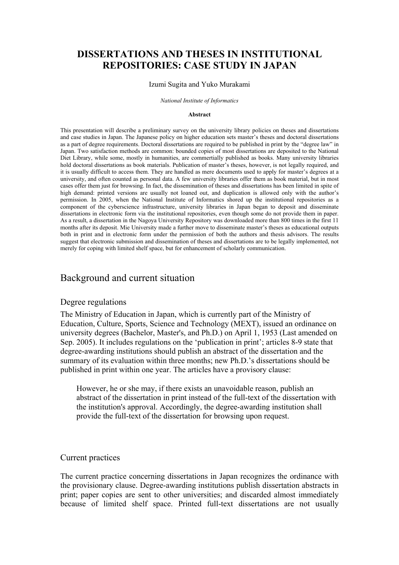# **DISSERTATIONS AND THESES IN INSTITUTIONAL REPOSITORIES: CASE STUDY IN JAPAN**

#### Izumi Sugita and Yuko Murakami

*National Institute of Informatics* 

#### **Abstract**

This presentation will describe a preliminary survey on the university library policies on theses and dissertations and case studies in Japan. The Japanese policy on higher education sets master's theses and doctoral dissertations as a part of degree requirements. Doctoral dissertations are required to be published in print by the "degree law" in Japan. Two satisfaction methods are common: bounded copies of most dissertations are deposited to the National Diet Library, while some, mostly in humanities, are commertially published as books. Many university libraries hold doctoral dissertations as book materials. Publication of master's theses, however, is not legally required, and it is usually difficult to access them. They are handled as mere documents used to apply for master's degrees at a university, and often counted as personal data. A few university libraries offer them as book material, but in most cases offer them just for browsing. In fact, the dissemination of theses and dissertations has been limited in spite of high demand: printed versions are usually not loaned out, and duplication is allowed only with the author's permission. In 2005, when the National Institute of Informatics shored up the institutional repositories as a component of the cyberscience infrastructure, university libraries in Japan began to deposit and disseminate dissertations in electronic form via the institutional repositories, even though some do not provide them in paper. As a result, a dissertation in the Nagoya University Repository was downloaded more than 800 times in the first 11 months after its deposit. Mie University made a further move to disseminate master's theses as educational outputs both in print and in electronic form under the permission of both the authors and thesis advisors. The results suggest that electronic submission and dissemination of theses and dissertations are to be legally implemented, not merely for coping with limited shelf space, but for enhancement of scholarly communication.

## Background and current situation

#### Degree regulations

The Ministry of Education in Japan, which is currently part of the Ministry of Education, Culture, Sports, Science and Technology (MEXT), issued an ordinance on university degrees (Bachelor, Master's, and Ph.D.) on April 1, 1953 (Last amended on Sep. 2005). It includes regulations on the 'publication in print'; articles 8-9 state that degree-awarding institutions should publish an abstract of the dissertation and the summary of its evaluation within three months; new Ph.D.'s dissertations should be published in print within one year. The articles have a provisory clause:

However, he or she may, if there exists an unavoidable reason, publish an abstract of the dissertation in print instead of the full-text of the dissertation with the institution's approval. Accordingly, the degree-awarding institution shall provide the full-text of the dissertation for browsing upon request.

#### Current practices

The current practice concerning dissertations in Japan recognizes the ordinance with the provisionary clause. Degree-awarding institutions publish dissertation abstracts in print; paper copies are sent to other universities; and discarded almost immediately because of limited shelf space. Printed full-text dissertations are not usually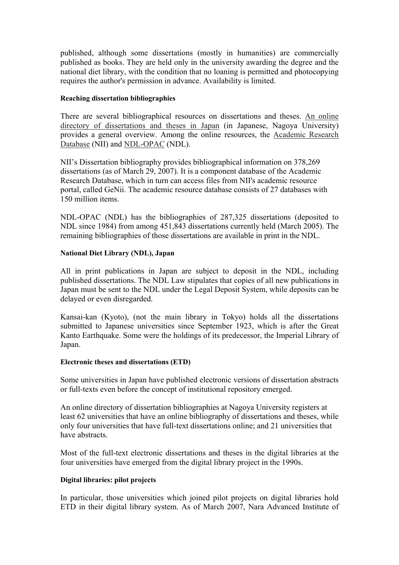published, although some dissertations (mostly in humanities) are commercially published as books. They are held only in the university awarding the degree and the national diet library, with the condition that no loaning is permitted and photocopying requires the author's permission in advance. Availability is limited.

#### **Reaching dissertation bibliographies**

There are several bibliographical resources on dissertations and theses. An online directory of dissertations and theses in Japan (in Japanese, Nagoya University) provides a general overview. Among the online resources, the Academic Research Database (NII) and NDL-OPAC (NDL).

NII's Dissertation bibliography provides bibliographical information on 378,269 dissertations (as of March 29, 2007). It is a component database of the Academic Research Database, which in turn can access files from NII's academic resource portal, called GeNii. The academic resource database consists of 27 databases with 150 million items.

NDL-OPAC (NDL) has the bibliographies of 287,325 dissertations (deposited to NDL since 1984) from among 451,843 dissertations currently held (March 2005). The remaining bibliographies of those dissertations are available in print in the NDL.

#### **National Diet Library (NDL), Japan**

All in print publications in Japan are subject to deposit in the NDL, including published dissertations. The NDL Law stipulates that copies of all new publications in Japan must be sent to the NDL under the Legal Deposit System, while deposits can be delayed or even disregarded.

Kansai-kan (Kyoto), (not the main library in Tokyo) holds all the dissertations submitted to Japanese universities since September 1923, which is after the Great Kanto Earthquake. Some were the holdings of its predecessor, the Imperial Library of Japan.

#### **Electronic theses and dissertations (ETD)**

Some universities in Japan have published electronic versions of dissertation abstracts or full-texts even before the concept of institutional repository emerged.

An online directory of dissertation bibliographies at Nagoya University registers at least 62 universities that have an online bibliography of dissertations and theses, while only four universities that have full-text dissertations online; and 21 universities that have abstracts.

Most of the full-text electronic dissertations and theses in the digital libraries at the four universities have emerged from the digital library project in the 1990s.

#### **Digital libraries: pilot projects**

In particular, those universities which joined pilot projects on digital libraries hold ETD in their digital library system. As of March 2007, Nara Advanced Institute of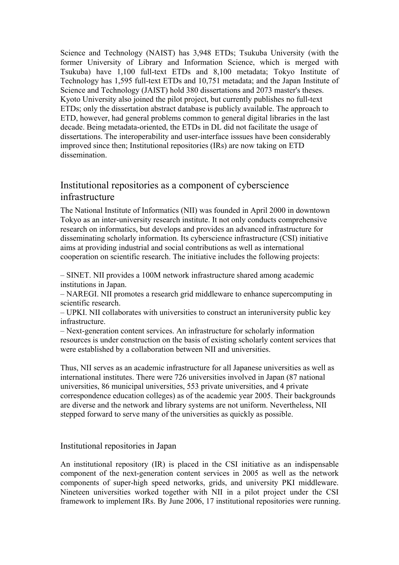Science and Technology (NAIST) has 3,948 ETDs; Tsukuba University (with the former University of Library and Information Science, which is merged with Tsukuba) have 1,100 full-text ETDs and 8,100 metadata; Tokyo Institute of Technology has 1,595 full-text ETDs and 10,751 metadata; and the Japan Institute of Science and Technology (JAIST) hold 380 dissertations and 2073 master's theses. Kyoto University also joined the pilot project, but currently publishes no full-text ETDs; only the dissertation abstract database is publicly available. The approach to ETD, however, had general problems common to general digital libraries in the last decade. Being metadata-oriented, the ETDs in DL did not facilitate the usage of dissertations. The interoperability and user-interface isssues have been considerably improved since then; Institutional repositories (IRs) are now taking on ETD dissemination.

# Institutional repositories as a component of cyberscience infrastructure

The National Institute of Informatics (NII) was founded in April 2000 in downtown Tokyo as an inter-university research institute. It not only conducts comprehensive research on informatics, but develops and provides an advanced infrastructure for disseminating scholarly information. Its cyberscience infrastructure (CSI) initiative aims at providing industrial and social contributions as well as international cooperation on scientific research. The initiative includes the following projects:

– SINET. NII provides a 100M network infrastructure shared among academic institutions in Japan.

– NAREGI. NII promotes a research grid middleware to enhance supercomputing in scientific research.

– UPKI. NII collaborates with universities to construct an interuniversity public key infrastructure.

– Next-generation content services. An infrastructure for scholarly information resources is under construction on the basis of existing scholarly content services that were established by a collaboration between NII and universities.

Thus, NII serves as an academic infrastructure for all Japanese universities as well as international institutes. There were 726 universities involved in Japan (87 national universities, 86 municipal universities, 553 private universities, and 4 private correspondence education colleges) as of the academic year 2005. Their backgrounds are diverse and the network and library systems are not uniform. Nevertheless, NII stepped forward to serve many of the universities as quickly as possible.

## Institutional repositories in Japan

An institutional repository (IR) is placed in the CSI initiative as an indispensable component of the next-generation content services in 2005 as well as the network components of super-high speed networks, grids, and university PKI middleware. Nineteen universities worked together with NII in a pilot project under the CSI framework to implement IRs. By June 2006, 17 institutional repositories were running.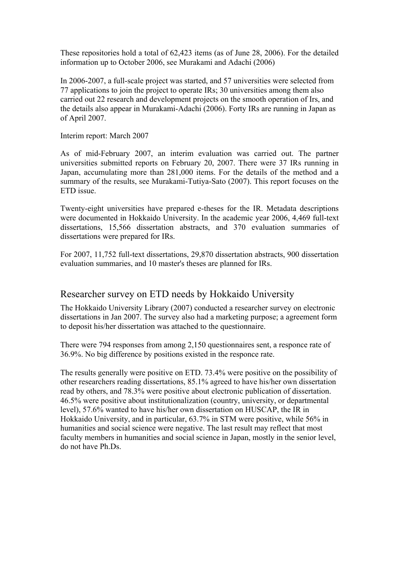These repositories hold a total of 62,423 items (as of June 28, 2006). For the detailed information up to October 2006, see Murakami and Adachi (2006)

In 2006-2007, a full-scale project was started, and 57 universities were selected from 77 applications to join the project to operate IRs; 30 universities among them also carried out 22 research and development projects on the smooth operation of Irs, and the details also appear in Murakami-Adachi (2006). Forty IRs are running in Japan as of April 2007.

Interim report: March 2007

As of mid-February 2007, an interim evaluation was carried out. The partner universities submitted reports on February 20, 2007. There were 37 IRs running in Japan, accumulating more than 281,000 items. For the details of the method and a summary of the results, see Murakami-Tutiya-Sato (2007). This report focuses on the ETD issue.

Twenty-eight universities have prepared e-theses for the IR. Metadata descriptions were documented in Hokkaido University. In the academic year 2006, 4,469 full-text dissertations, 15,566 dissertation abstracts, and 370 evaluation summaries of dissertations were prepared for IRs.

For 2007, 11,752 full-text dissertations, 29,870 dissertation abstracts, 900 dissertation evaluation summaries, and 10 master's theses are planned for IRs.

# Researcher survey on ETD needs by Hokkaido University

The Hokkaido University Library (2007) conducted a researcher survey on electronic dissertations in Jan 2007. The survey also had a marketing purpose; a agreement form to deposit his/her dissertation was attached to the questionnaire.

There were 794 responses from among 2,150 questionnaires sent, a responce rate of 36.9%. No big difference by positions existed in the responce rate.

The results generally were positive on ETD. 73.4% were positive on the possibility of other researchers reading dissertations, 85.1% agreed to have his/her own dissertation read by others, and 78.3% were positive about electronic publication of dissertation. 46.5% were positive about institutionalization (country, university, or departmental level), 57.6% wanted to have his/her own dissertation on HUSCAP, the IR in Hokkaido University, and in particular, 63.7% in STM were positive, while 56% in humanities and social science were negative. The last result may reflect that most faculty members in humanities and social science in Japan, mostly in the senior level, do not have Ph.Ds.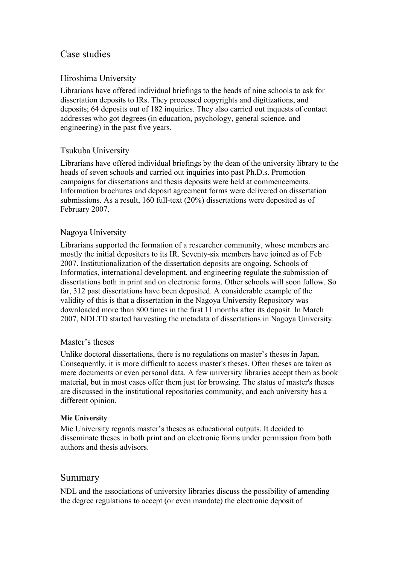# Case studies

## Hiroshima University

Librarians have offered individual briefings to the heads of nine schools to ask for dissertation deposits to IRs. They processed copyrights and digitizations, and deposits; 64 deposits out of 182 inquiries. They also carried out inquests of contact addresses who got degrees (in education, psychology, general science, and engineering) in the past five years.

## Tsukuba University

Librarians have offered individual briefings by the dean of the university library to the heads of seven schools and carried out inquiries into past Ph.D.s. Promotion campaigns for dissertations and thesis deposits were held at commencements. Information brochures and deposit agreement forms were delivered on dissertation submissions. As a result, 160 full-text (20%) dissertations were deposited as of February 2007.

## Nagoya University

Librarians supported the formation of a researcher community, whose members are mostly the initial depositers to its IR. Seventy-six members have joined as of Feb 2007. Institutionalization of the dissertation deposits are ongoing. Schools of Informatics, international development, and engineering regulate the submission of dissertations both in print and on electronic forms. Other schools will soon follow. So far, 312 past dissertations have been deposited. A considerable example of the validity of this is that a dissertation in the Nagoya University Repository was downloaded more than 800 times in the first 11 months after its deposit. In March 2007, NDLTD started harvesting the metadata of dissertations in Nagoya University.

## Master's theses

Unlike doctoral dissertations, there is no regulations on master's theses in Japan. Consequently, it is more difficult to access master's theses. Often theses are taken as mere documents or even personal data. A few university libraries accept them as book material, but in most cases offer them just for browsing. The status of master's theses are discussed in the institutional repositories community, and each university has a different opinion.

## **Mie University**

Mie University regards master's theses as educational outputs. It decided to disseminate theses in both print and on electronic forms under permission from both authors and thesis advisors.

# Summary

NDL and the associations of university libraries discuss the possibility of amending the degree regulations to accept (or even mandate) the electronic deposit of